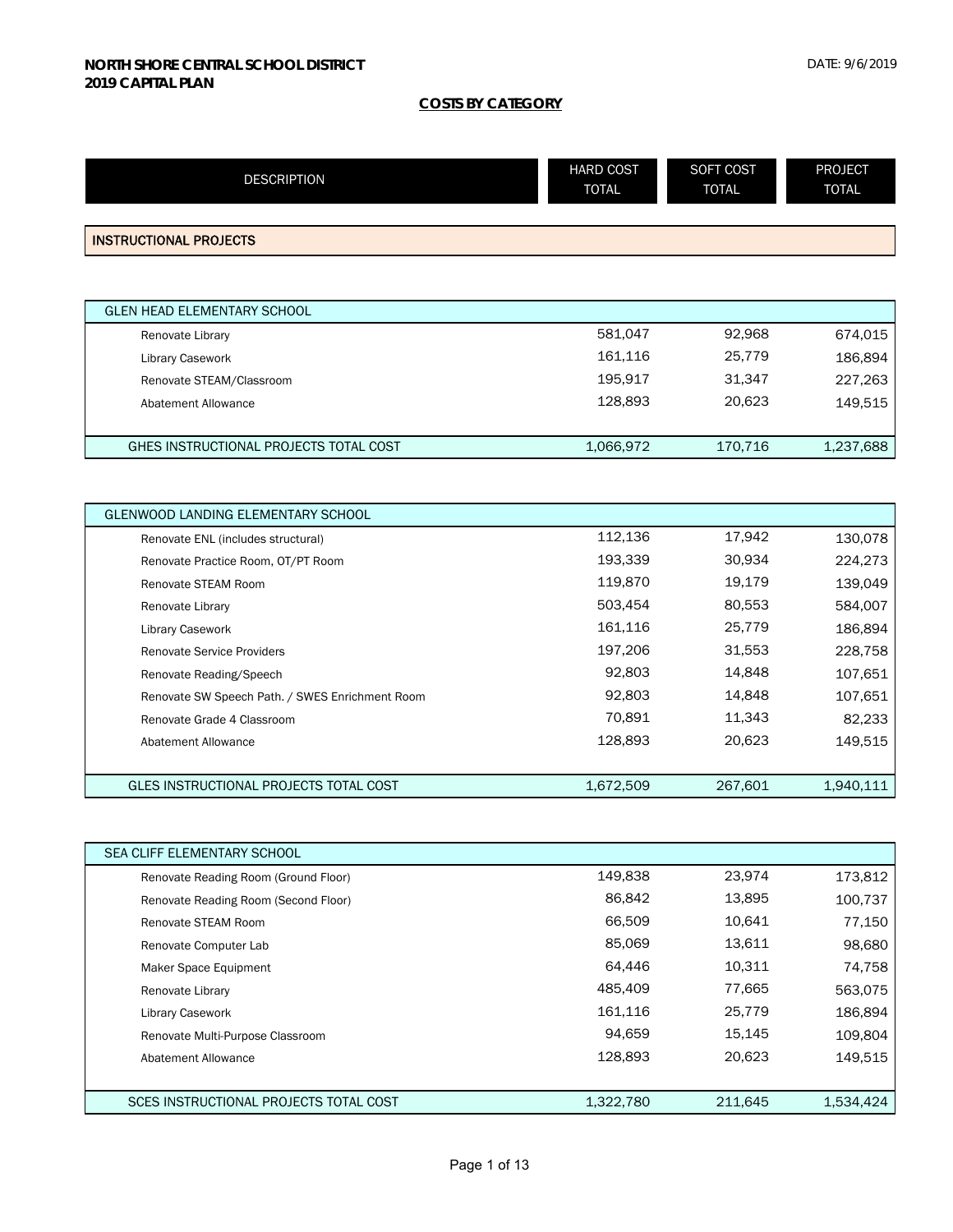| <b>DESCRIPTION</b>                              | <b>HARD COST</b><br><b>TOTAL</b> | SOFT COST<br><b>TOTAL</b> | <b>PROJECT</b><br><b>TOTAL</b> |
|-------------------------------------------------|----------------------------------|---------------------------|--------------------------------|
|                                                 |                                  |                           |                                |
| <b>INSTRUCTIONAL PROJECTS</b>                   |                                  |                           |                                |
|                                                 |                                  |                           |                                |
| <b>GLEN HEAD ELEMENTARY SCHOOL</b>              |                                  |                           |                                |
| Renovate Library                                | 581,047                          | 92,968                    | 674,015                        |
| Library Casework                                | 161,116                          | 25,779                    | 186,894                        |
| Renovate STEAM/Classroom                        | 195,917                          | 31,347                    | 227,263                        |
| Abatement Allowance                             | 128,893                          | 20,623                    | 149,515                        |
|                                                 |                                  |                           |                                |
| GHES INSTRUCTIONAL PROJECTS TOTAL COST          | 1,066,972                        | 170,716                   | 1,237,688                      |
|                                                 |                                  |                           |                                |
| GLENWOOD LANDING ELEMENTARY SCHOOL              |                                  |                           |                                |
| Renovate ENL (includes structural)              | 112,136                          | 17,942                    | 130,078                        |
| Renovate Practice Room, OT/PT Room              | 193,339                          | 30,934                    | 224,273                        |
| Renovate STEAM Room                             | 119,870                          | 19,179                    | 139,049                        |
| Renovate Library                                | 503,454                          | 80,553                    | 584,007                        |
| Library Casework                                | 161,116                          | 25,779                    | 186,894                        |
| <b>Renovate Service Providers</b>               | 197,206                          | 31,553                    | 228,758                        |
| Renovate Reading/Speech                         | 92,803                           | 14,848                    | 107,651                        |
| Renovate SW Speech Path. / SWES Enrichment Room | 92,803                           | 14,848                    | 107,651                        |
| Renovate Grade 4 Classroom                      | 70,891                           | 11,343                    | 82,233                         |
| <b>Abatement Allowance</b>                      | 128,893                          | 20,623                    | 149,515                        |
|                                                 |                                  |                           |                                |
| GLES INSTRUCTIONAL PROJECTS TOTAL COST          | 1,672,509                        | 267,601                   | 1,940,111                      |
|                                                 |                                  |                           |                                |
| SEA CLIFF ELEMENTARY SCHOOL                     |                                  |                           |                                |
| Renovate Reading Room (Ground Floor)            | 149,838                          | 23,974                    | 173,812                        |
| Renovate Reading Room (Second Floor)            | 86,842                           | 13,895                    | 100,737                        |
| Renovate STEAM Room                             | 66,509                           | 10,641                    | 77,150                         |
| Renovate Computer Lab                           | 85,069                           | 13,611                    | 98,680                         |
| Maker Space Equipment                           | 64,446                           | 10,311                    | 74,758                         |
| Renovate Library                                | 485,409                          | 77,665                    | 563,075                        |
| Library Casework                                | 161,116                          | 25,779                    | 186,894                        |
| Renovate Multi-Purpose Classroom                | 94,659                           | 15,145                    | 109,804                        |
| Abatement Allowance                             | 128,893                          | 20,623                    | 149,515                        |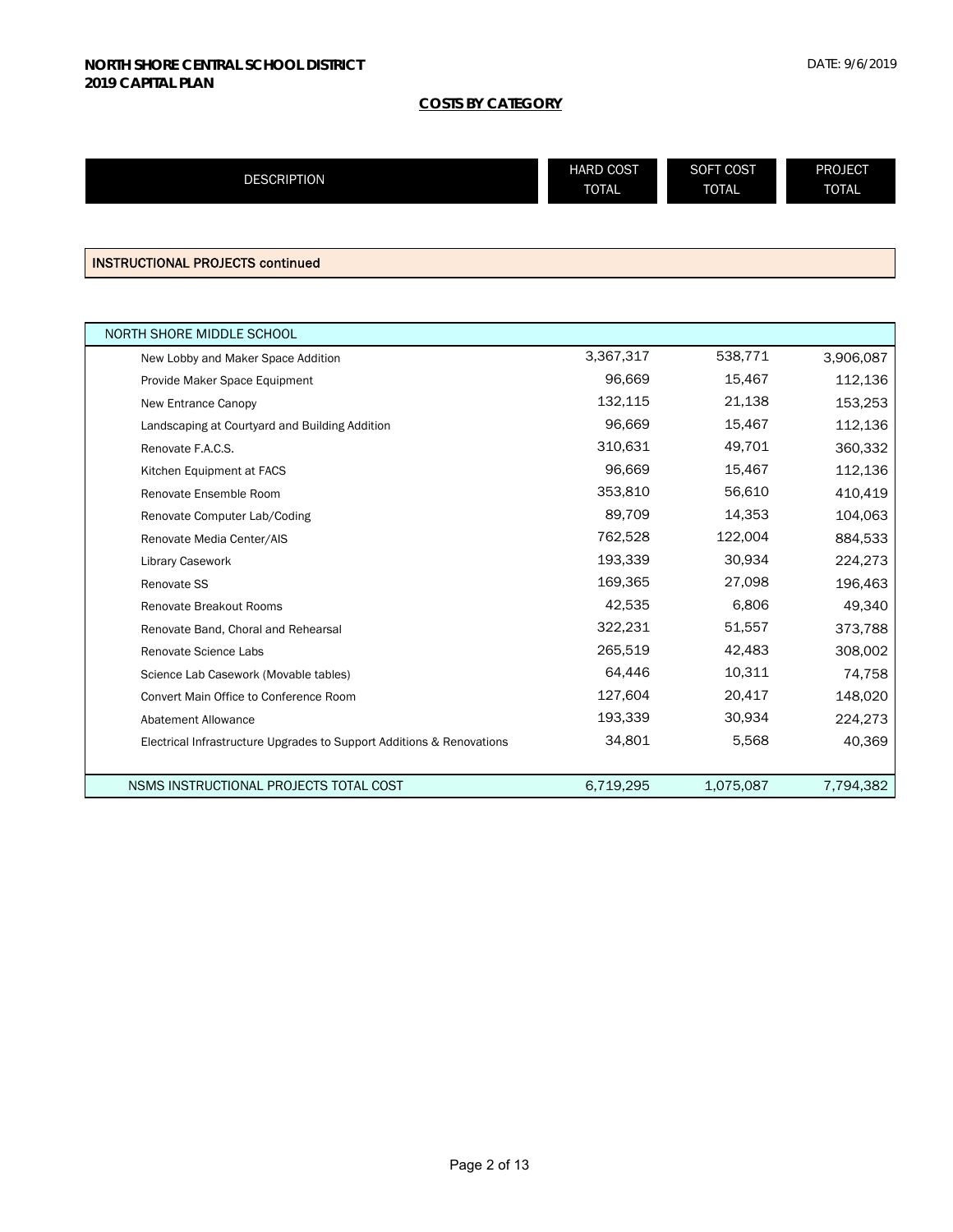| <b>DESCRIPTION</b> | <b>HARD COST</b> | SOFT COST    | <b>PROJECT</b> |
|--------------------|------------------|--------------|----------------|
|                    | <b>TOTAL</b>     | <b>TOTAL</b> | <b>TOTAL</b>   |
|                    |                  |              |                |

INSTRUCTIONAL PROJECTS continued

| NORTH SHORE MIDDLE SCHOOL                                             |           |           |           |
|-----------------------------------------------------------------------|-----------|-----------|-----------|
| New Lobby and Maker Space Addition                                    | 3,367,317 | 538,771   | 3,906,087 |
| Provide Maker Space Equipment                                         | 96,669    | 15,467    | 112,136   |
| New Entrance Canopy                                                   | 132,115   | 21,138    | 153,253   |
| Landscaping at Courtyard and Building Addition                        | 96,669    | 15,467    | 112,136   |
| Renovate F.A.C.S.                                                     | 310,631   | 49,701    | 360,332   |
| Kitchen Equipment at FACS                                             | 96,669    | 15,467    | 112,136   |
| Renovate Ensemble Room                                                | 353,810   | 56,610    | 410,419   |
| Renovate Computer Lab/Coding                                          | 89,709    | 14,353    | 104,063   |
| Renovate Media Center/AIS                                             | 762,528   | 122,004   | 884,533   |
| Library Casework                                                      | 193,339   | 30,934    | 224,273   |
| Renovate SS                                                           | 169,365   | 27,098    | 196,463   |
| Renovate Breakout Rooms                                               | 42,535    | 6,806     | 49,340    |
| Renovate Band, Choral and Rehearsal                                   | 322,231   | 51,557    | 373,788   |
| Renovate Science Labs                                                 | 265,519   | 42,483    | 308,002   |
| Science Lab Casework (Movable tables)                                 | 64,446    | 10,311    | 74,758    |
| Convert Main Office to Conference Room                                | 127,604   | 20,417    | 148,020   |
| <b>Abatement Allowance</b>                                            | 193,339   | 30,934    | 224,273   |
| Electrical Infrastructure Upgrades to Support Additions & Renovations | 34,801    | 5,568     | 40,369    |
|                                                                       |           |           |           |
| NSMS INSTRUCTIONAL PROJECTS TOTAL COST                                | 6,719,295 | 1,075,087 | 7,794,382 |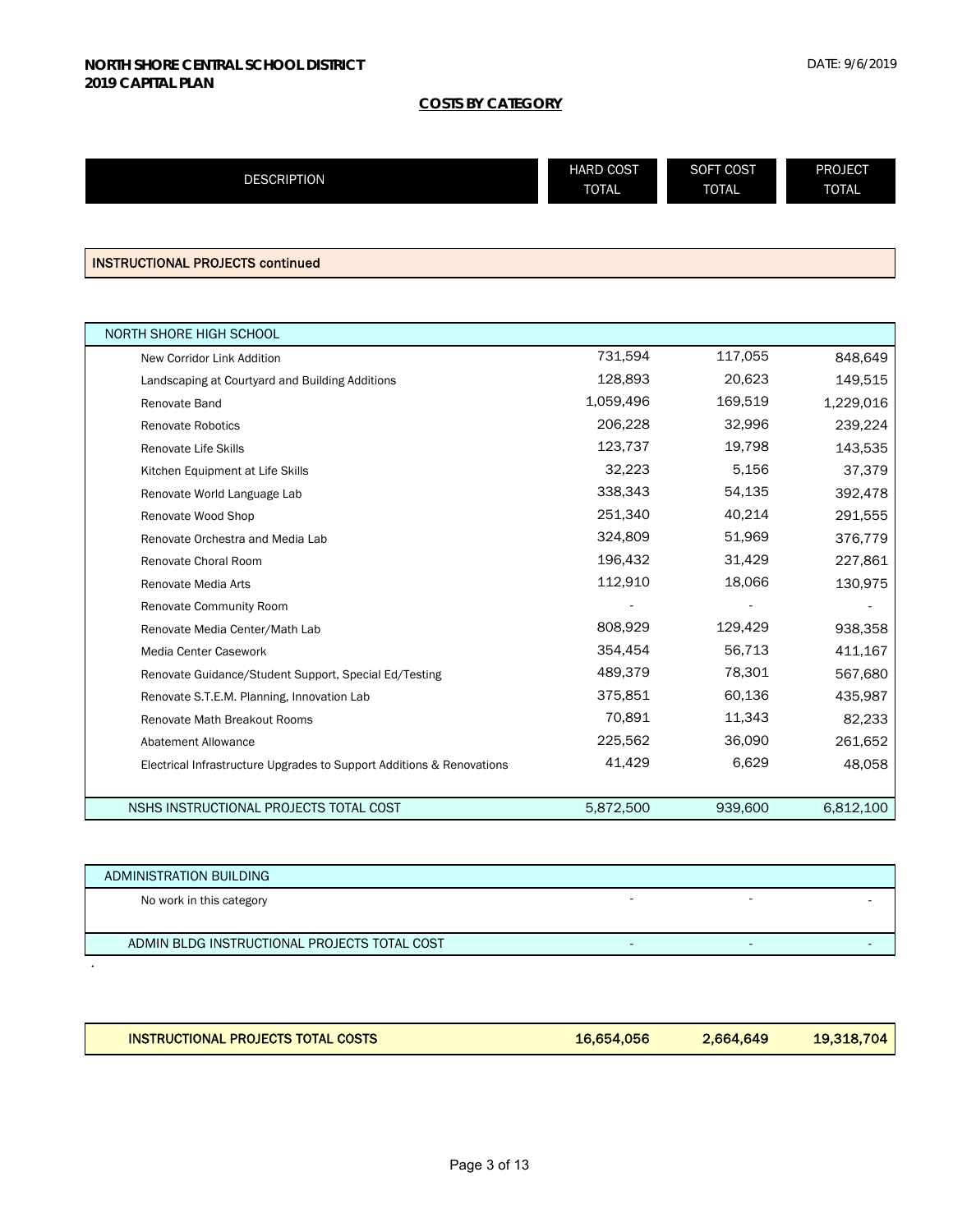| <b>DESCRIPTION</b> | <b>HARD COST</b> | SOFT COST    | <b>PROJECT</b> |
|--------------------|------------------|--------------|----------------|
|                    | <b>TOTAL</b>     | <b>TOTAL</b> | <b>TOTAL</b>   |
|                    |                  |              |                |

INSTRUCTIONAL PROJECTS continued

 $\ddot{\phantom{0}}$ 

| <b>NORTH SHORE HIGH SCHOOL</b>                                        |           |         |           |
|-----------------------------------------------------------------------|-----------|---------|-----------|
| New Corridor Link Addition                                            | 731,594   | 117,055 | 848,649   |
| Landscaping at Courtyard and Building Additions                       | 128,893   | 20,623  | 149,515   |
| Renovate Band                                                         | 1,059,496 | 169,519 | 1,229,016 |
| Renovate Robotics                                                     | 206,228   | 32,996  | 239,224   |
| <b>Renovate Life Skills</b>                                           | 123,737   | 19,798  | 143,535   |
| Kitchen Equipment at Life Skills                                      | 32,223    | 5,156   | 37,379    |
| Renovate World Language Lab                                           | 338,343   | 54,135  | 392,478   |
| Renovate Wood Shop                                                    | 251,340   | 40,214  | 291,555   |
| Renovate Orchestra and Media Lab                                      | 324,809   | 51,969  | 376,779   |
| Renovate Choral Room                                                  | 196,432   | 31,429  | 227,861   |
| Renovate Media Arts                                                   | 112,910   | 18,066  | 130,975   |
| Renovate Community Room                                               |           |         |           |
| Renovate Media Center/Math Lab                                        | 808,929   | 129,429 | 938,358   |
| Media Center Casework                                                 | 354,454   | 56,713  | 411,167   |
| Renovate Guidance/Student Support, Special Ed/Testing                 | 489,379   | 78,301  | 567,680   |
| Renovate S.T.E.M. Planning, Innovation Lab                            | 375,851   | 60,136  | 435,987   |
| <b>Renovate Math Breakout Rooms</b>                                   | 70,891    | 11,343  | 82,233    |
| <b>Abatement Allowance</b>                                            | 225,562   | 36,090  | 261,652   |
| Electrical Infrastructure Upgrades to Support Additions & Renovations | 41,429    | 6,629   | 48,058    |
|                                                                       |           |         |           |
| NSHS INSTRUCTIONAL PROJECTS TOTAL COST                                | 5,872,500 | 939,600 | 6,812,100 |

| ADMINISTRATION BUILDING                      |  |  |
|----------------------------------------------|--|--|
| No work in this category                     |  |  |
|                                              |  |  |
| ADMIN BLDG INSTRUCTIONAL PROJECTS TOTAL COST |  |  |

| <b>INSTRUCTIONAL PROJECTS TOTAL COSTS</b> | 16,654,056 | 2.664.649 | 19,318,704 |
|-------------------------------------------|------------|-----------|------------|
|                                           |            |           |            |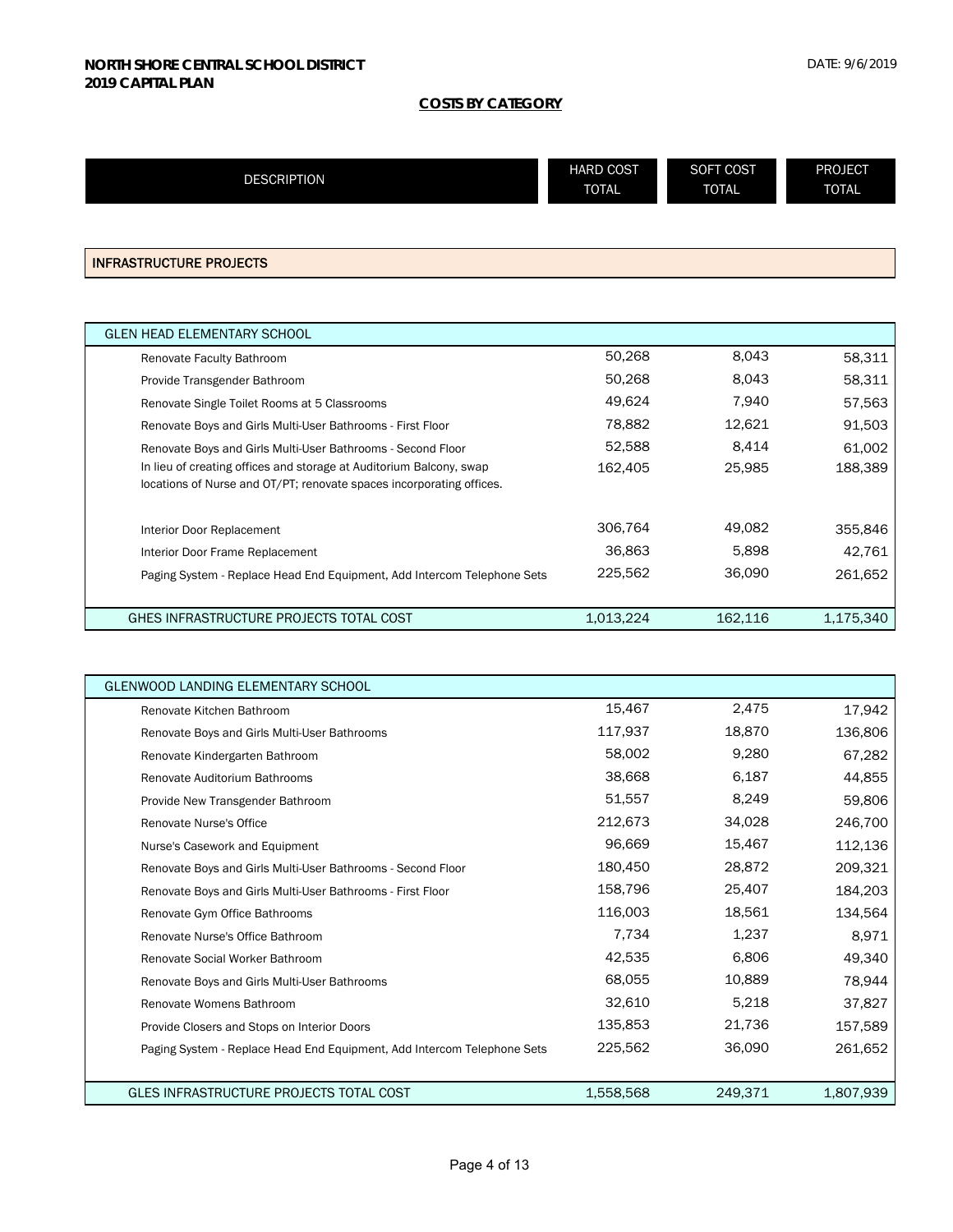| <b>DESCRIPTION</b> | <b>HARD COST</b><br><b>TOTAL</b> | <b>SOFT COST</b><br><b>TOTAL</b> | <b>PROJECT</b><br><b>TOTAL</b> |
|--------------------|----------------------------------|----------------------------------|--------------------------------|
|                    |                                  |                                  |                                |

#### INFRASTRUCTURE PROJECTS

| <b>GLEN HEAD ELEMENTARY SCHOOL</b>                                                                                                          |           |         |           |
|---------------------------------------------------------------------------------------------------------------------------------------------|-----------|---------|-----------|
| Renovate Faculty Bathroom                                                                                                                   | 50,268    | 8,043   | 58,311    |
| Provide Transgender Bathroom                                                                                                                | 50,268    | 8,043   | 58,311    |
| Renovate Single Toilet Rooms at 5 Classrooms                                                                                                | 49,624    | 7.940   | 57,563    |
| Renovate Boys and Girls Multi-User Bathrooms - First Floor                                                                                  | 78,882    | 12.621  | 91,503    |
| Renovate Boys and Girls Multi-User Bathrooms - Second Floor                                                                                 | 52,588    | 8.414   | 61,002    |
| In lieu of creating offices and storage at Auditorium Balcony, swap<br>locations of Nurse and OT/PT; renovate spaces incorporating offices. | 162,405   | 25.985  | 188,389   |
| Interior Door Replacement                                                                                                                   | 306.764   | 49.082  | 355,846   |
| Interior Door Frame Replacement                                                                                                             | 36,863    | 5,898   | 42.761    |
| Paging System - Replace Head End Equipment, Add Intercom Telephone Sets                                                                     | 225,562   | 36,090  | 261,652   |
| GHES INFRASTRUCTURE PROJECTS TOTAL COST                                                                                                     | 1,013,224 | 162,116 | 1,175,340 |

| <b>GLENWOOD LANDING ELEMENTARY SCHOOL</b>                               |           |         |           |
|-------------------------------------------------------------------------|-----------|---------|-----------|
| Renovate Kitchen Bathroom                                               | 15,467    | 2,475   | 17,942    |
| Renovate Boys and Girls Multi-User Bathrooms                            | 117,937   | 18,870  | 136,806   |
| Renovate Kindergarten Bathroom                                          | 58,002    | 9,280   | 67,282    |
| Renovate Auditorium Bathrooms                                           | 38,668    | 6,187   | 44,855    |
| Provide New Transgender Bathroom                                        | 51,557    | 8,249   | 59,806    |
| <b>Renovate Nurse's Office</b>                                          | 212,673   | 34,028  | 246,700   |
| Nurse's Casework and Equipment                                          | 96,669    | 15,467  | 112,136   |
| Renovate Boys and Girls Multi-User Bathrooms - Second Floor             | 180,450   | 28,872  | 209,321   |
| Renovate Boys and Girls Multi-User Bathrooms - First Floor              | 158,796   | 25,407  | 184,203   |
| Renovate Gym Office Bathrooms                                           | 116,003   | 18,561  | 134,564   |
| Renovate Nurse's Office Bathroom                                        | 7,734     | 1,237   | 8,971     |
| Renovate Social Worker Bathroom                                         | 42,535    | 6,806   | 49,340    |
| Renovate Boys and Girls Multi-User Bathrooms                            | 68,055    | 10,889  | 78,944    |
| Renovate Womens Bathroom                                                | 32,610    | 5,218   | 37,827    |
| Provide Closers and Stops on Interior Doors                             | 135,853   | 21,736  | 157,589   |
| Paging System - Replace Head End Equipment, Add Intercom Telephone Sets | 225,562   | 36,090  | 261,652   |
|                                                                         |           |         |           |
| GLES INFRASTRUCTURE PROJECTS TOTAL COST                                 | 1,558,568 | 249,371 | 1,807,939 |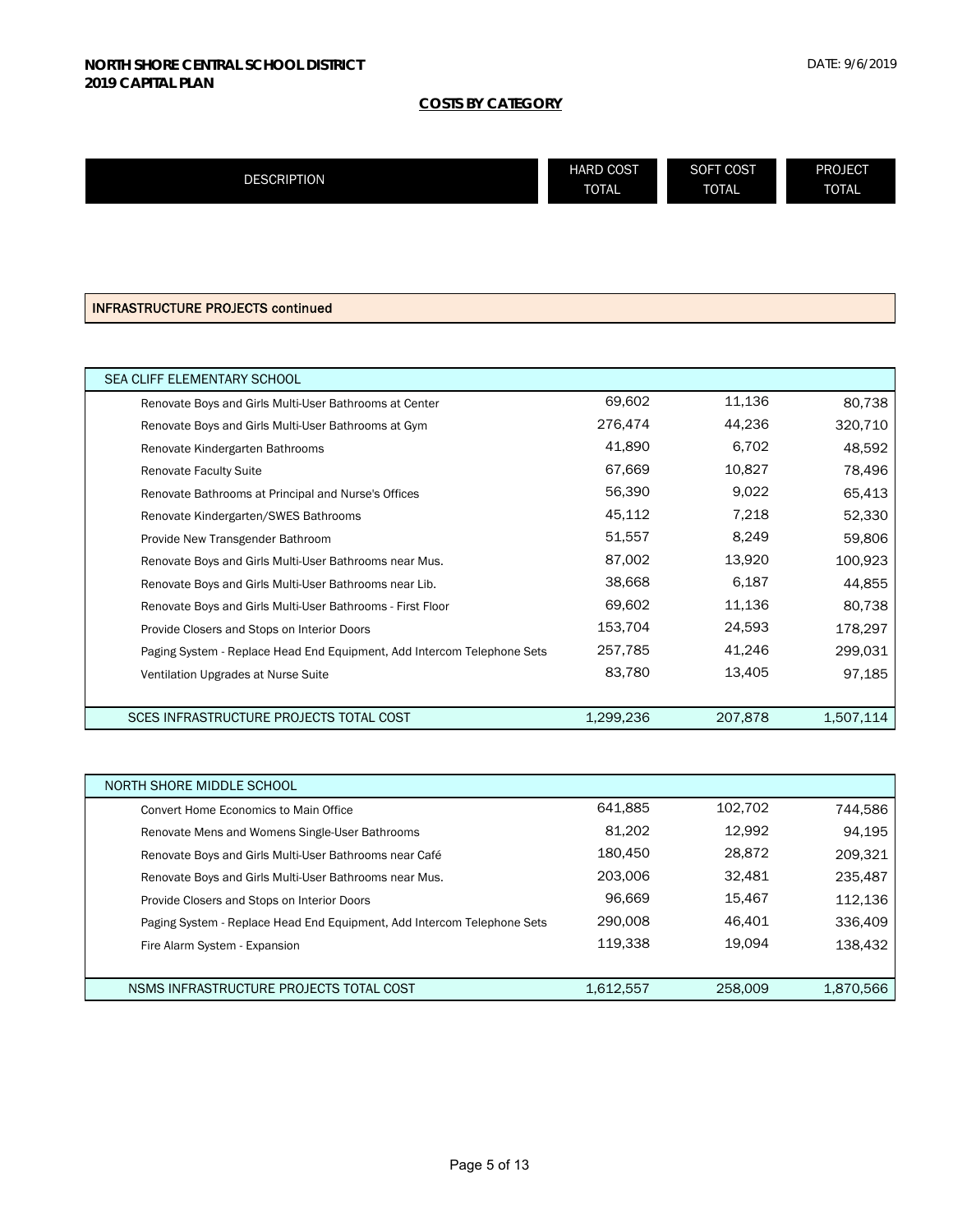| <b>DESCRIPTION</b> | <b>HARD COST</b> | SOFT COST    | PROJECT      |
|--------------------|------------------|--------------|--------------|
|                    | <b>TOTAL</b>     | <b>TOTAL</b> | <b>TOTAL</b> |
|                    |                  |              |              |

# INFRASTRUCTURE PROJECTS continued

| SEA CLIFF ELEMENTARY SCHOOL                                             |           |         |           |
|-------------------------------------------------------------------------|-----------|---------|-----------|
| Renovate Boys and Girls Multi-User Bathrooms at Center                  | 69,602    | 11,136  | 80,738    |
| Renovate Boys and Girls Multi-User Bathrooms at Gym                     | 276,474   | 44,236  | 320,710   |
| Renovate Kindergarten Bathrooms                                         | 41,890    | 6,702   | 48,592    |
| <b>Renovate Faculty Suite</b>                                           | 67,669    | 10,827  | 78,496    |
| Renovate Bathrooms at Principal and Nurse's Offices                     | 56,390    | 9,022   | 65,413    |
| Renovate Kindergarten/SWES Bathrooms                                    | 45,112    | 7,218   | 52,330    |
| Provide New Transgender Bathroom                                        | 51,557    | 8,249   | 59,806    |
| Renovate Boys and Girls Multi-User Bathrooms near Mus.                  | 87,002    | 13,920  | 100,923   |
| Renovate Boys and Girls Multi-User Bathrooms near Lib.                  | 38,668    | 6,187   | 44,855    |
| Renovate Boys and Girls Multi-User Bathrooms - First Floor              | 69,602    | 11,136  | 80,738    |
| Provide Closers and Stops on Interior Doors                             | 153,704   | 24,593  | 178,297   |
| Paging System - Replace Head End Equipment, Add Intercom Telephone Sets | 257,785   | 41,246  | 299.031   |
| Ventilation Upgrades at Nurse Suite                                     | 83,780    | 13,405  | 97,185    |
|                                                                         |           |         |           |
| SCES INFRASTRUCTURE PROJECTS TOTAL COST                                 | 1,299,236 | 207,878 | 1,507,114 |

| NORTH SHORE MIDDLE SCHOOL                                               |           |         |           |
|-------------------------------------------------------------------------|-----------|---------|-----------|
| Convert Home Economics to Main Office                                   | 641.885   | 102,702 | 744,586   |
| Renovate Mens and Womens Single-User Bathrooms                          | 81,202    | 12.992  | 94,195    |
| Renovate Boys and Girls Multi-User Bathrooms near Café                  | 180.450   | 28,872  | 209,321   |
| Renovate Boys and Girls Multi-User Bathrooms near Mus.                  | 203.006   | 32.481  | 235,487   |
| Provide Closers and Stops on Interior Doors                             | 96.669    | 15,467  | 112,136   |
| Paging System - Replace Head End Equipment, Add Intercom Telephone Sets | 290,008   | 46.401  | 336,409   |
| Fire Alarm System - Expansion                                           | 119.338   | 19.094  | 138,432   |
|                                                                         |           |         |           |
| NSMS INFRASTRUCTURE PROJECTS TOTAL COST                                 | 1,612,557 | 258,009 | 1,870,566 |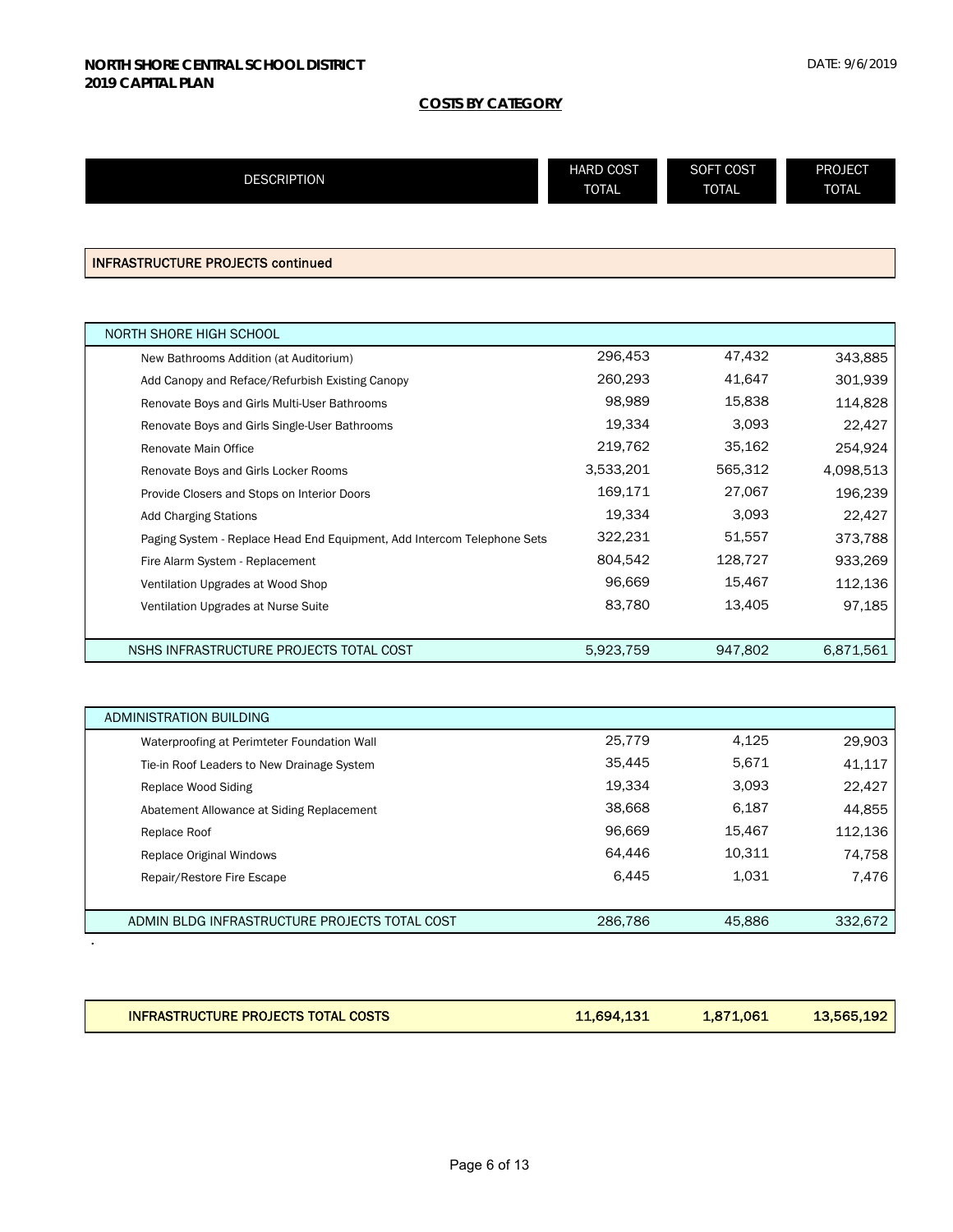| <b>DESCRIPTION</b> | <b>HARD COST</b> | SOFT COST    | <b>PROJECT</b> |
|--------------------|------------------|--------------|----------------|
|                    | <b>TOTAL</b>     | <b>TOTAL</b> | <b>TOTAL</b>   |
|                    |                  |              |                |

INFRASTRUCTURE PROJECTS continued

| NORTH SHORE HIGH SCHOOL                                                 |           |         |           |
|-------------------------------------------------------------------------|-----------|---------|-----------|
| New Bathrooms Addition (at Auditorium)                                  | 296,453   | 47,432  | 343,885   |
| Add Canopy and Reface/Refurbish Existing Canopy                         | 260,293   | 41,647  | 301,939   |
| Renovate Boys and Girls Multi-User Bathrooms                            | 98,989    | 15,838  | 114,828   |
| Renovate Boys and Girls Single-User Bathrooms                           | 19,334    | 3,093   | 22,427    |
| Renovate Main Office                                                    | 219,762   | 35,162  | 254,924   |
| Renovate Boys and Girls Locker Rooms                                    | 3,533,201 | 565,312 | 4,098,513 |
| Provide Closers and Stops on Interior Doors                             | 169,171   | 27,067  | 196,239   |
| <b>Add Charging Stations</b>                                            | 19,334    | 3,093   | 22,427    |
| Paging System - Replace Head End Equipment, Add Intercom Telephone Sets | 322,231   | 51,557  | 373,788   |
| Fire Alarm System - Replacement                                         | 804,542   | 128,727 | 933,269   |
| Ventilation Upgrades at Wood Shop                                       | 96,669    | 15,467  | 112,136   |
| Ventilation Upgrades at Nurse Suite                                     | 83,780    | 13,405  | 97,185    |
|                                                                         |           |         |           |
| NSHS INFRASTRUCTURE PROJECTS TOTAL COST                                 | 5,923,759 | 947.802 | 6.871.561 |

| ADMINISTRATION BUILDING                       |         |        |         |
|-----------------------------------------------|---------|--------|---------|
| Waterproofing at Perimteter Foundation Wall   | 25,779  | 4,125  | 29,903  |
| Tie-in Roof Leaders to New Drainage System    | 35.445  | 5.671  | 41,117  |
| Replace Wood Siding                           | 19.334  | 3.093  | 22,427  |
| Abatement Allowance at Siding Replacement     | 38,668  | 6.187  | 44,855  |
| Replace Roof                                  | 96.669  | 15.467 | 112,136 |
| Replace Original Windows                      | 64.446  | 10.311 | 74,758  |
| Repair/Restore Fire Escape                    | 6,445   | 1.031  | 7,476   |
|                                               |         |        |         |
| ADMIN BLDG INFRASTRUCTURE PROJECTS TOTAL COST | 286,786 | 45,886 | 332,672 |
|                                               |         |        |         |

| <b>INFRASTRUCTURE PROJECTS TOTAL COSTS</b><br>13,565,192<br>1,871,061<br>11,694,131 |
|-------------------------------------------------------------------------------------|
|-------------------------------------------------------------------------------------|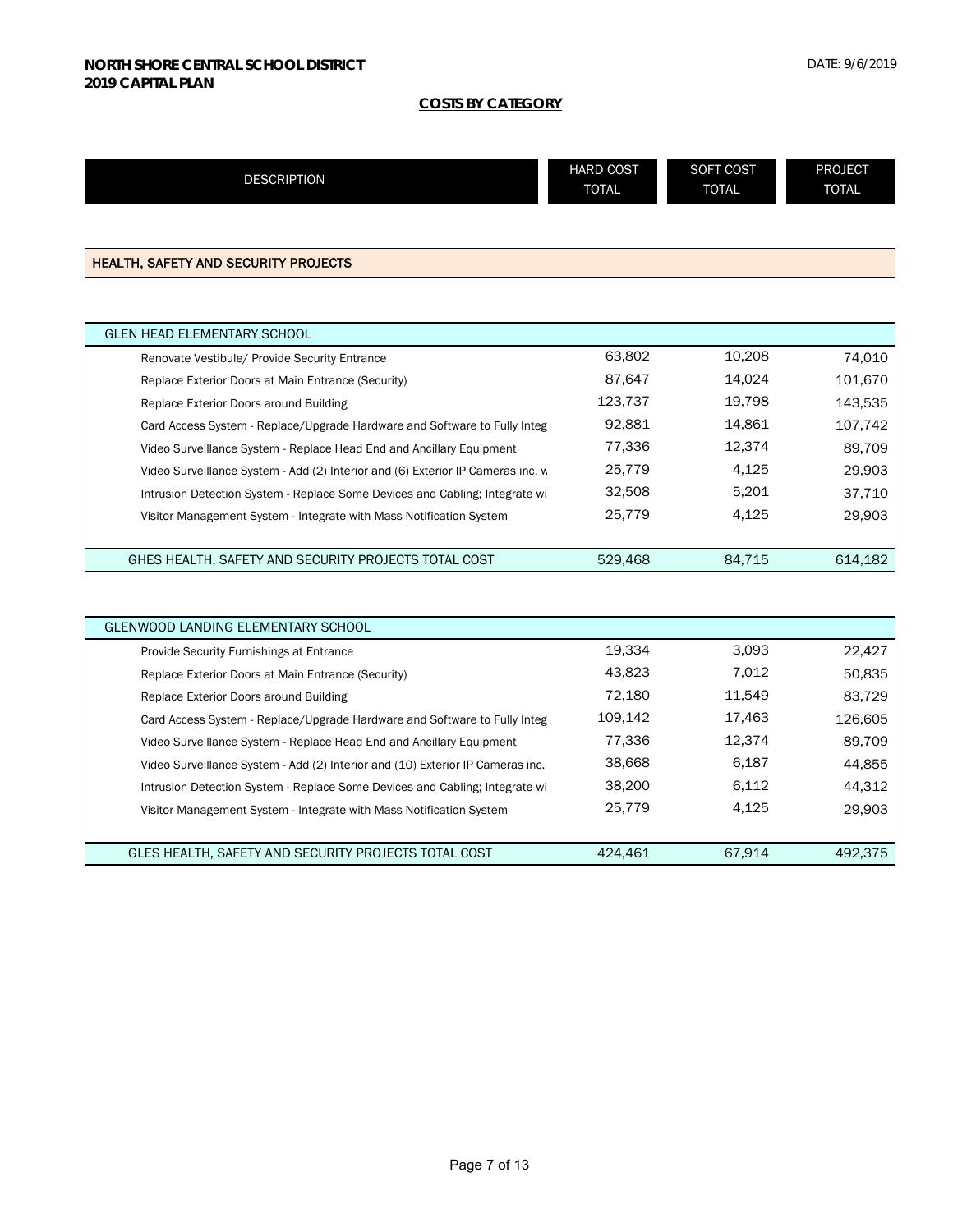|                    | <b>HARD COST</b> | SOFT COST    | <b>PROJECT</b> |
|--------------------|------------------|--------------|----------------|
| <b>DESCRIPTION</b> | <b>TOTAL</b>     | <b>TOTAL</b> | <b>TOTAL</b>   |
|                    |                  |              |                |

# HEALTH, SAFETY AND SECURITY PROJECTS

L

| <b>GLEN HEAD ELEMENTARY SCHOOL</b>                                              |         |        |         |
|---------------------------------------------------------------------------------|---------|--------|---------|
| Renovate Vestibule/ Provide Security Entrance                                   | 63.802  | 10.208 | 74.010  |
| Replace Exterior Doors at Main Entrance (Security)                              | 87.647  | 14.024 | 101.670 |
| Replace Exterior Doors around Building                                          | 123.737 | 19.798 | 143.535 |
| Card Access System - Replace/Upgrade Hardware and Software to Fully Integ       | 92.881  | 14.861 | 107,742 |
| Video Surveillance System - Replace Head End and Ancillary Equipment            | 77.336  | 12.374 | 89.709  |
| Video Surveillance System - Add (2) Interior and (6) Exterior IP Cameras inc. w | 25,779  | 4.125  | 29.903  |
| Intrusion Detection System - Replace Some Devices and Cabling; Integrate wi     | 32.508  | 5.201  | 37.710  |
| Visitor Management System - Integrate with Mass Notification System             | 25,779  | 4.125  | 29.903  |
|                                                                                 |         |        |         |
| GHES HEALTH, SAFETY AND SECURITY PROJECTS TOTAL COST                            | 529,468 | 84.715 | 614.182 |

| GLENWOOD LANDING ELEMENTARY SCHOOL                                             |         |        |         |
|--------------------------------------------------------------------------------|---------|--------|---------|
| Provide Security Furnishings at Entrance                                       | 19,334  | 3,093  | 22,427  |
| Replace Exterior Doors at Main Entrance (Security)                             | 43.823  | 7.012  | 50,835  |
| Replace Exterior Doors around Building                                         | 72.180  | 11.549 | 83.729  |
| Card Access System - Replace/Upgrade Hardware and Software to Fully Integ      | 109,142 | 17.463 | 126,605 |
| Video Surveillance System - Replace Head End and Ancillary Equipment           | 77.336  | 12.374 | 89.709  |
| Video Surveillance System - Add (2) Interior and (10) Exterior IP Cameras inc. | 38,668  | 6.187  | 44,855  |
| Intrusion Detection System - Replace Some Devices and Cabling; Integrate wi    | 38,200  | 6.112  | 44,312  |
| Visitor Management System - Integrate with Mass Notification System            | 25,779  | 4.125  | 29,903  |
|                                                                                |         |        |         |
| GLES HEALTH, SAFETY AND SECURITY PROJECTS TOTAL COST                           | 424.461 | 67.914 | 492,375 |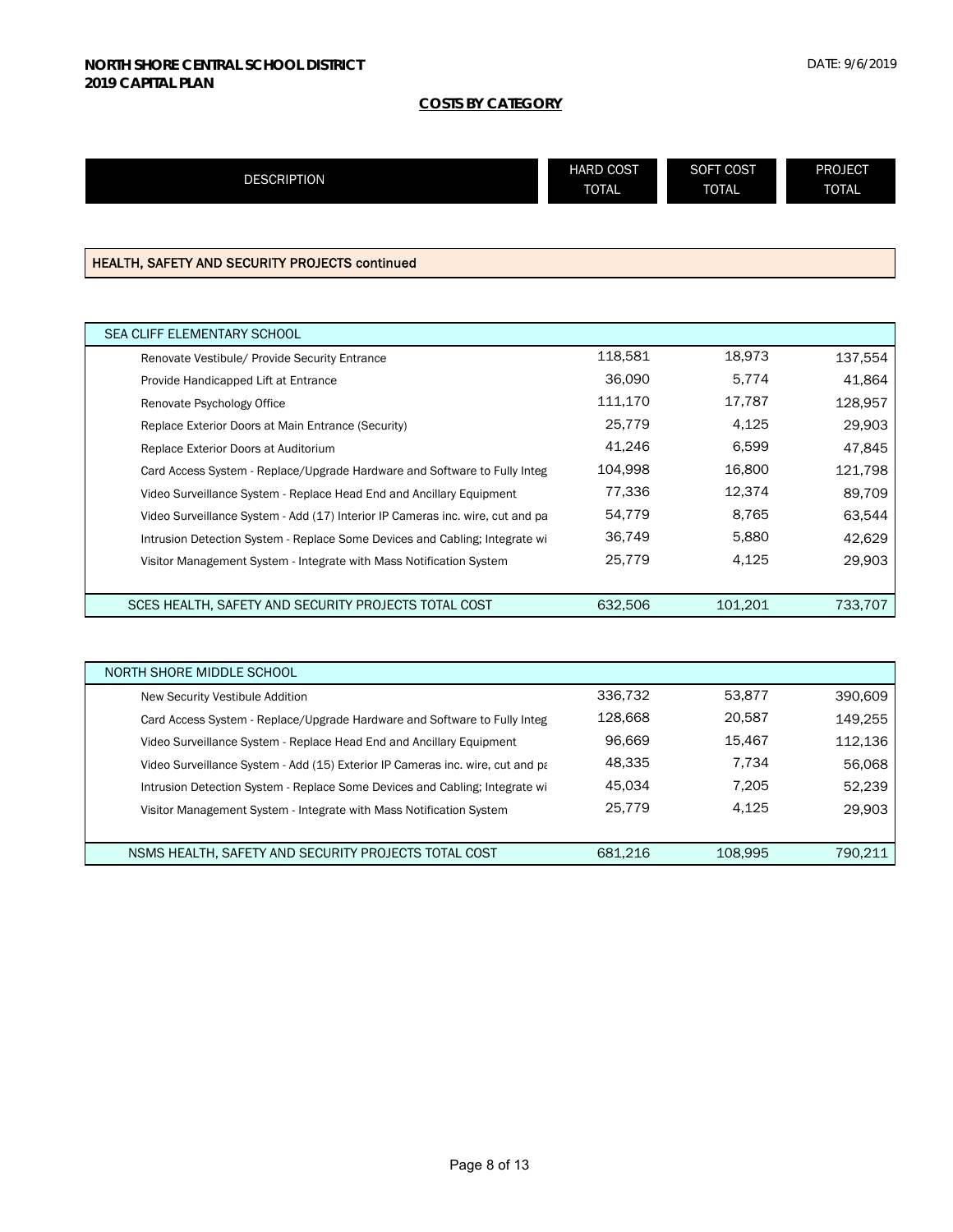| <b>DESCRIPTION</b> | <b>HARD COST</b> | SOFT COST    | <b>PROJECT</b> |
|--------------------|------------------|--------------|----------------|
|                    | <b>TOTAL</b>     | <b>TOTAL</b> | <b>TOTAL</b>   |
|                    |                  |              |                |

# HEALTH, SAFETY AND SECURITY PROJECTS continued

| <b>SEA CLIFF ELEMENTARY SCHOOL</b>                                             |         |         |         |
|--------------------------------------------------------------------------------|---------|---------|---------|
| Renovate Vestibule/ Provide Security Entrance                                  | 118,581 | 18.973  | 137,554 |
| Provide Handicapped Lift at Entrance                                           | 36,090  | 5.774   | 41,864  |
| Renovate Psychology Office                                                     | 111.170 | 17.787  | 128,957 |
| Replace Exterior Doors at Main Entrance (Security)                             | 25,779  | 4.125   | 29,903  |
| Replace Exterior Doors at Auditorium                                           | 41.246  | 6.599   | 47,845  |
| Card Access System - Replace/Upgrade Hardware and Software to Fully Integ      | 104,998 | 16,800  | 121.798 |
| Video Surveillance System - Replace Head End and Ancillary Equipment           | 77,336  | 12.374  | 89,709  |
| Video Surveillance System - Add (17) Interior IP Cameras inc. wire, cut and pa | 54,779  | 8,765   | 63,544  |
| Intrusion Detection System - Replace Some Devices and Cabling; Integrate wi    | 36,749  | 5,880   | 42.629  |
| Visitor Management System - Integrate with Mass Notification System            | 25,779  | 4.125   | 29.903  |
|                                                                                |         |         |         |
| SCES HEALTH, SAFETY AND SECURITY PROJECTS TOTAL COST                           | 632.506 | 101.201 | 733.707 |

| NORTH SHORE MIDDLE SCHOOL                                                      |         |         |         |
|--------------------------------------------------------------------------------|---------|---------|---------|
| New Security Vestibule Addition                                                | 336.732 | 53,877  | 390,609 |
| Card Access System - Replace/Upgrade Hardware and Software to Fully Integ      | 128.668 | 20.587  | 149,255 |
| Video Surveillance System - Replace Head End and Ancillary Equipment           | 96.669  | 15.467  | 112,136 |
| Video Surveillance System - Add (15) Exterior IP Cameras inc. wire, cut and pa | 48.335  | 7.734   | 56,068  |
| Intrusion Detection System - Replace Some Devices and Cabling; Integrate wi    | 45.034  | 7.205   | 52,239  |
| Visitor Management System - Integrate with Mass Notification System            | 25.779  | 4.125   | 29,903  |
|                                                                                |         |         |         |
| NSMS HEALTH, SAFETY AND SECURITY PROJECTS TOTAL COST                           | 681.216 | 108.995 | 790,211 |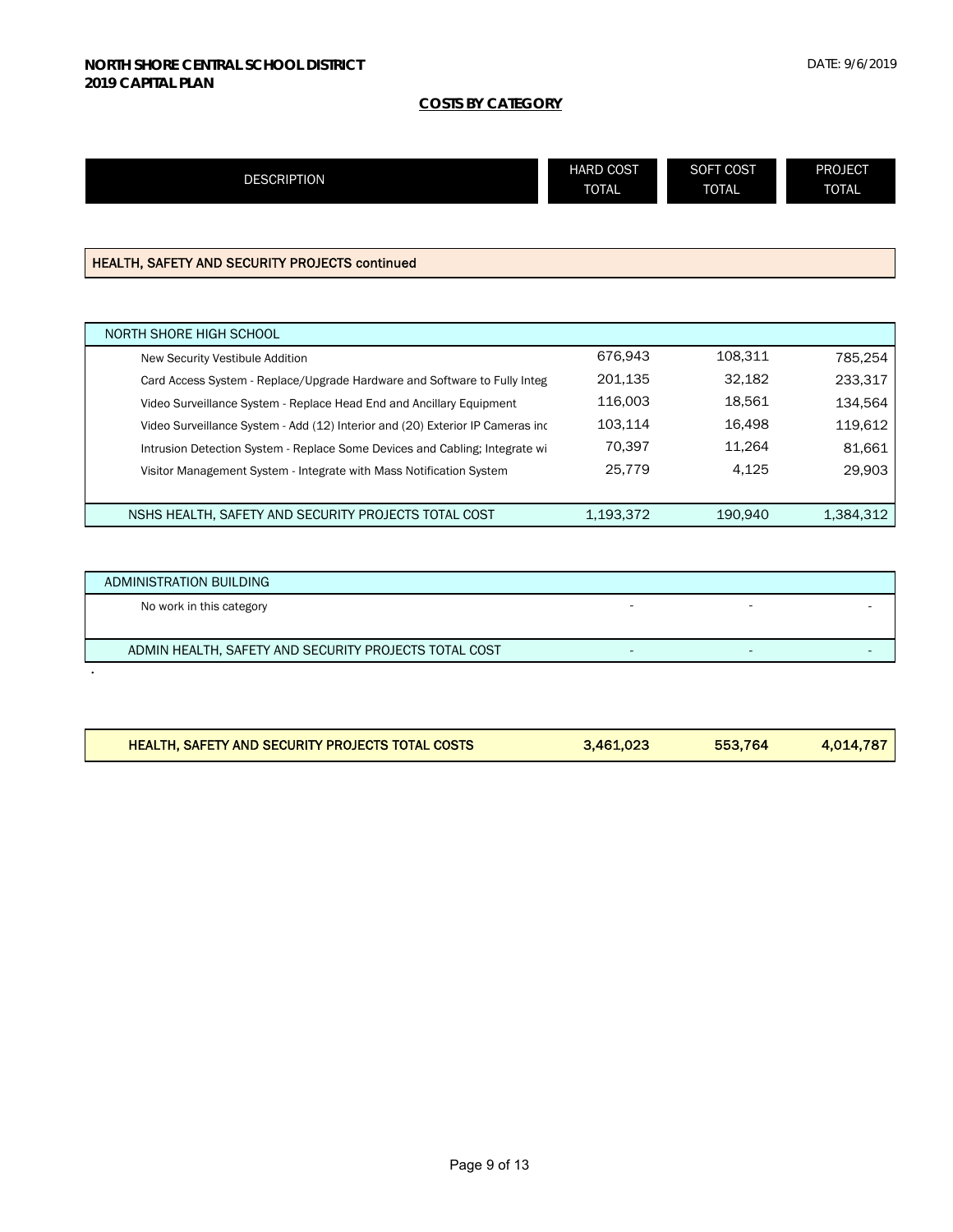| <b>DESCRIPTION</b>                                                             | <b>HARD COST</b><br><b>TOTAL</b> | <b>SOFT COST</b><br><b>TOTAL</b> | <b>PROJECT</b><br><b>TOTAL</b> |
|--------------------------------------------------------------------------------|----------------------------------|----------------------------------|--------------------------------|
|                                                                                |                                  |                                  |                                |
| <b>HEALTH, SAFETY AND SECURITY PROJECTS continued</b>                          |                                  |                                  |                                |
|                                                                                |                                  |                                  |                                |
| NORTH SHORE HIGH SCHOOL                                                        |                                  |                                  |                                |
| New Security Vestibule Addition                                                | 676,943                          | 108,311                          | 785,254                        |
| Card Access System - Replace/Upgrade Hardware and Software to Fully Integ      | 201,135                          | 32,182                           | 233,317                        |
| Video Surveillance System - Replace Head End and Ancillary Equipment           | 116,003                          | 18,561                           | 134,564                        |
| Video Surveillance System - Add (12) Interior and (20) Exterior IP Cameras inc | 103,114                          | 16,498                           | 119,612                        |
| Intrusion Detection System - Replace Some Devices and Cabling; Integrate wi    | 70,397                           | 11,264                           | 81,661                         |
| Visitor Management System - Integrate with Mass Notification System            | 25,779                           | 4,125                            | 29,903                         |
| NSHS HEALTH, SAFETY AND SECURITY PROJECTS TOTAL COST                           | 1.193.372                        | 190.940                          | 1.384.312                      |

| ADMINISTRATION BUILDING                               |  |  |
|-------------------------------------------------------|--|--|
| No work in this category                              |  |  |
|                                                       |  |  |
| ADMIN HEALTH, SAFETY AND SECURITY PROJECTS TOTAL COST |  |  |

| <b>HEALTH, SAFETY AND SECURITY PROJECTS TOTAL COSTS</b> | 3.461,023 | 553.764 | 4.014.787 |
|---------------------------------------------------------|-----------|---------|-----------|
|                                                         |           |         |           |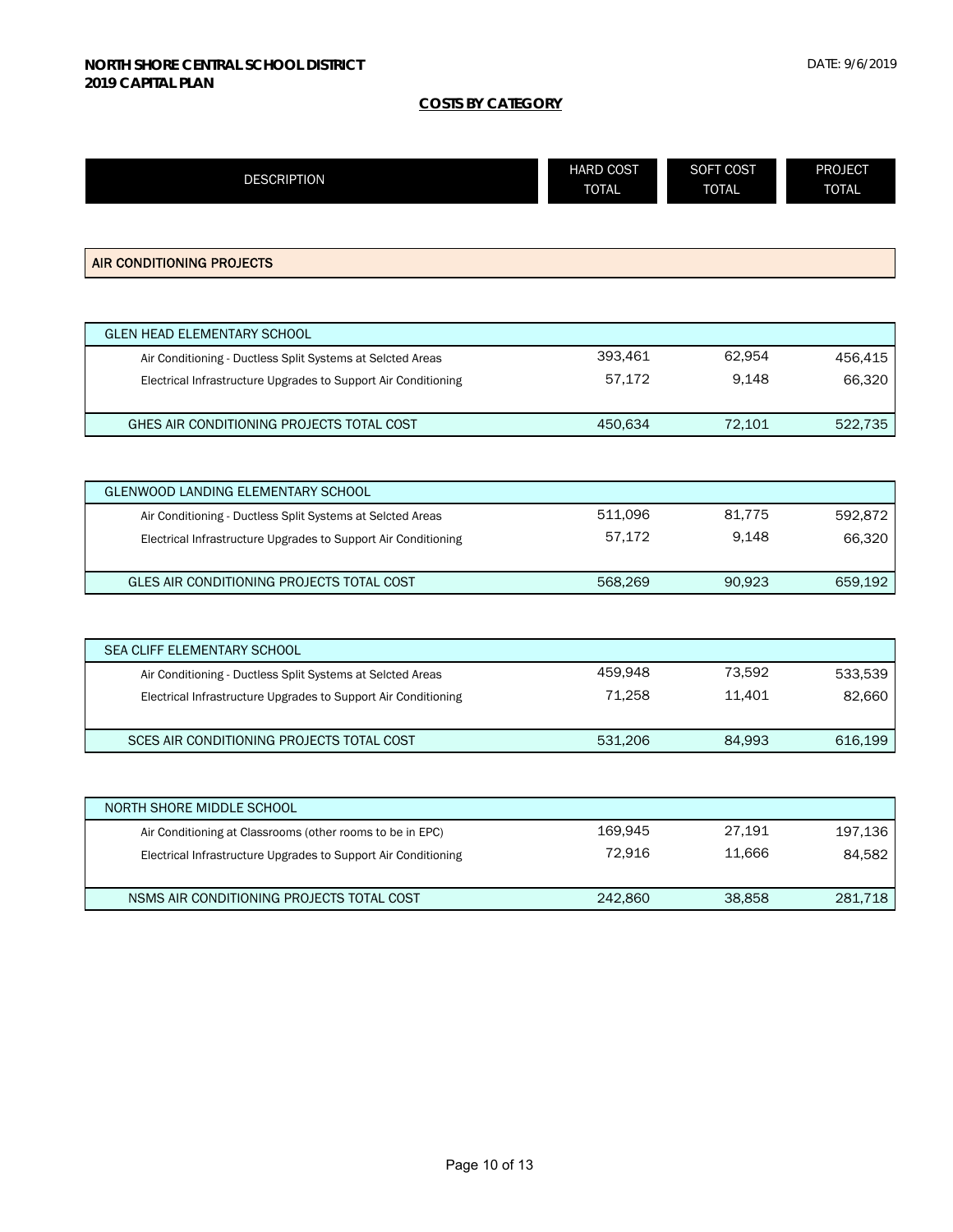| <b>DESCRIPTION</b>                                             | <b>HARD COST</b><br><b>TOTAL</b> | SOFT COST<br><b>TOTAL</b> | <b>PROJECT</b><br><b>TOTAL</b> |
|----------------------------------------------------------------|----------------------------------|---------------------------|--------------------------------|
|                                                                |                                  |                           |                                |
| AIR CONDITIONING PROJECTS                                      |                                  |                           |                                |
|                                                                |                                  |                           |                                |
| <b>GLEN HEAD ELEMENTARY SCHOOL</b>                             |                                  |                           |                                |
| Air Conditioning - Ductless Split Systems at Selcted Areas     | 393,461                          | 62,954                    | 456,415                        |
| Electrical Infrastructure Upgrades to Support Air Conditioning | 57,172                           | 9,148                     | 66,320                         |
| GHES AIR CONDITIONING PROJECTS TOTAL COST                      | 450,634                          | 72,101                    | 522,735                        |
|                                                                |                                  |                           |                                |
| <b>GLENWOOD LANDING ELEMENTARY SCHOOL</b>                      |                                  |                           |                                |
| Air Conditioning - Ductless Split Systems at Selcted Areas     | 511,096                          | 81,775                    | 592,872                        |
| Electrical Infrastructure Upgrades to Support Air Conditioning | 57,172                           | 9,148                     | 66,320                         |
| GLES AIR CONDITIONING PROJECTS TOTAL COST                      | 568,269                          | 90,923                    | 659,192                        |
|                                                                |                                  |                           |                                |
| SEA CLIFF ELEMENTARY SCHOOL                                    |                                  |                           |                                |
| Air Conditioning - Ductless Split Systems at Selcted Areas     | 459,948                          | 73,592                    | 533,539                        |
| Electrical Infrastructure Upgrades to Support Air Conditioning | 71,258                           | 11,401                    | 82,660                         |
| SCES AIR CONDITIONING PROJECTS TOTAL COST                      | 531,206                          | 84,993                    | 616,199                        |
|                                                                |                                  |                           |                                |
| <b>NORTH SHORE MIDDLE SCHOOL</b>                               |                                  |                           |                                |
| Air Conditioning at Classrooms (other rooms to be in EPC)      | 169,945                          | 27,191                    | 197,136                        |
| Electrical Infrastructure Upgrades to Support Air Conditioning | 72,916                           | 11,666                    | 84,582                         |
| NSMS AIR CONDITIONING PROJECTS TOTAL COST                      | 242,860                          | 38,858                    | 281,718                        |
|                                                                |                                  |                           |                                |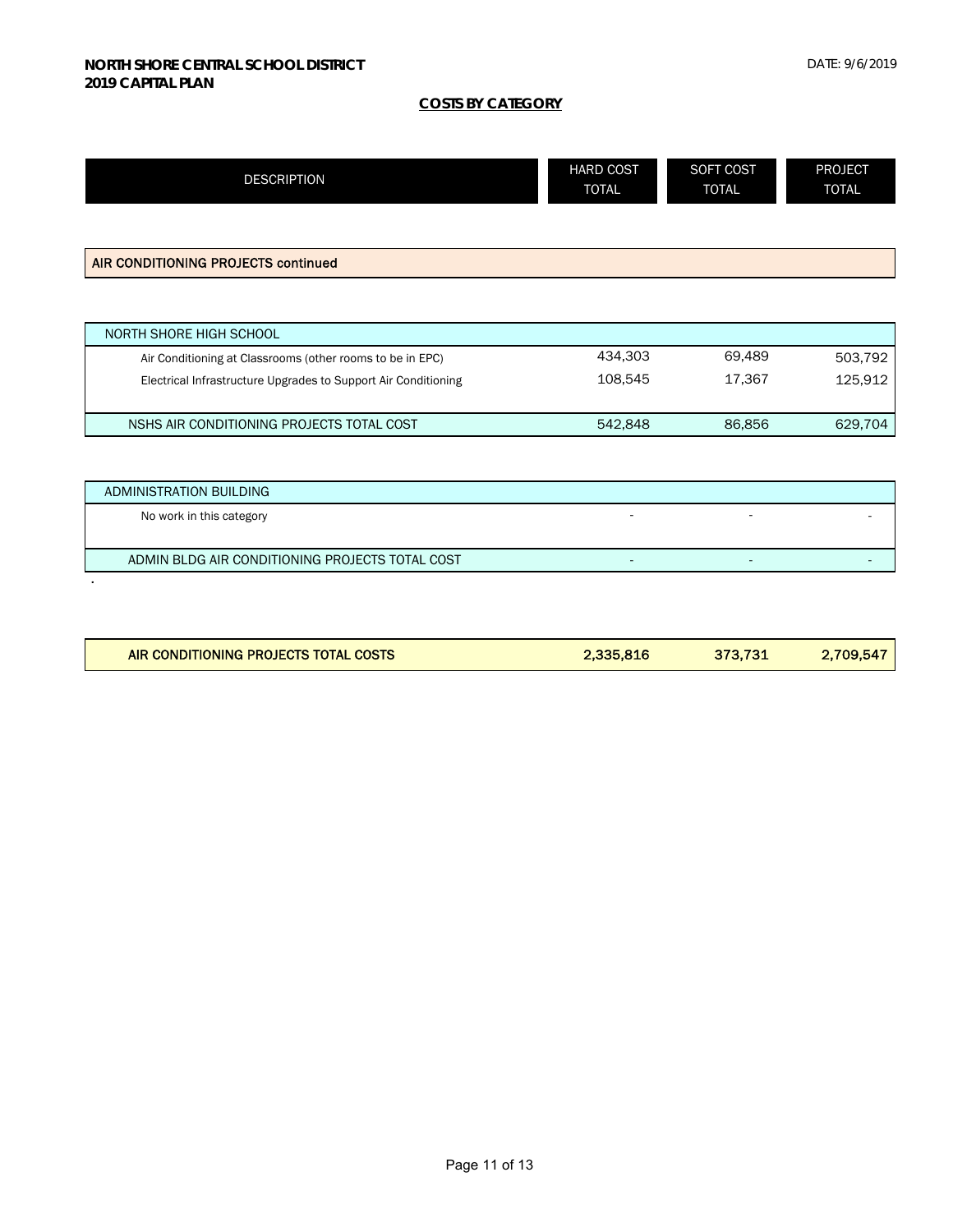| <b>DESCRIPTION</b>                                             | <b>HARD COST</b><br><b>TOTAL</b> | SOFT COST<br><b>TOTAL</b> | <b>PROJECT</b><br><b>TOTAL</b> |
|----------------------------------------------------------------|----------------------------------|---------------------------|--------------------------------|
|                                                                |                                  |                           |                                |
| AIR CONDITIONING PROJECTS continued                            |                                  |                           |                                |
|                                                                |                                  |                           |                                |
| NORTH SHORE HIGH SCHOOL                                        |                                  |                           |                                |
| Air Conditioning at Classrooms (other rooms to be in EPC)      | 434,303                          | 69,489                    | 503,792                        |
| Electrical Infrastructure Upgrades to Support Air Conditioning | 108,545                          | 17,367                    | 125,912                        |
| NSHS AIR CONDITIONING PROJECTS TOTAL COST                      | 542,848                          | 86,856                    | 629,704                        |
|                                                                |                                  |                           |                                |
| ADMINISTRATION BUILDING                                        |                                  |                           |                                |
| No work in this category                                       |                                  |                           |                                |
| ADMIN BLDG AIR CONDITIONING PROJECTS TOTAL COST                | ٠                                |                           |                                |

| AIR CONDITIONING PROJECTS TOTAL COSTS | 2,335,816 | 373.731 | 2,709,547 |
|---------------------------------------|-----------|---------|-----------|
|                                       |           |         |           |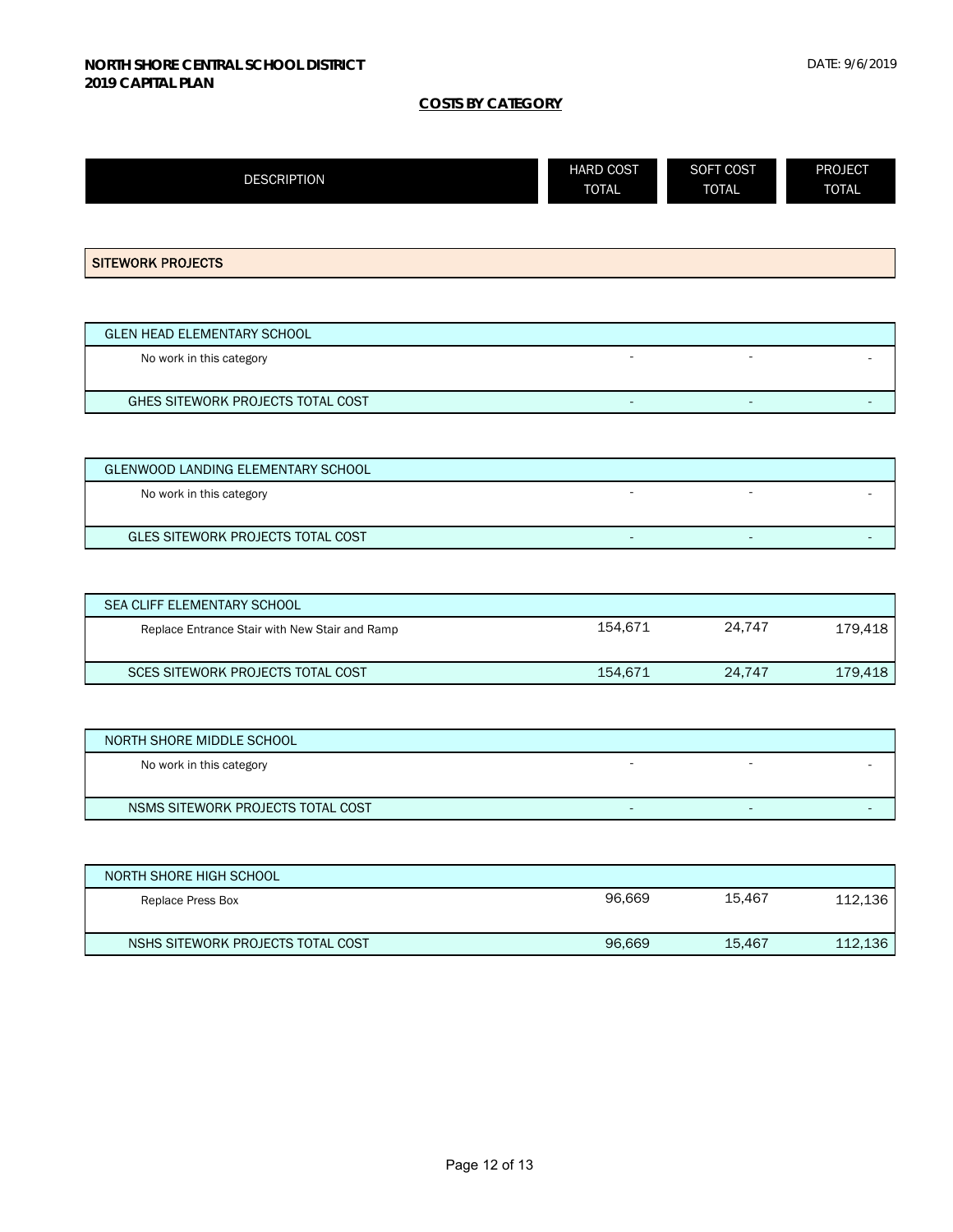| <b>DESCRIPTION</b>                 | <b>HARD COST</b><br><b>TOTAL</b> | SOFT COST<br><b>TOTAL</b> | <b>PROJECT</b><br><b>TOTAL</b> |
|------------------------------------|----------------------------------|---------------------------|--------------------------------|
| <b>SITEWORK PROJECTS</b>           |                                  |                           |                                |
| <b>GLEN HEAD ELEMENTARY SCHOOL</b> |                                  |                           |                                |

| No work in this category          |  |  |
|-----------------------------------|--|--|
|                                   |  |  |
| GHES SITEWORK PROJECTS TOTAL COST |  |  |
|                                   |  |  |

| GLENWOOD LANDING ELEMENTARY SCHOOL |  |  |
|------------------------------------|--|--|
| No work in this category           |  |  |
|                                    |  |  |
| GLES SITEWORK PROJECTS TOTAL COST  |  |  |

| <b>SEA CLIFF ELEMENTARY SCHOOL</b>             |         |        |         |
|------------------------------------------------|---------|--------|---------|
| Replace Entrance Stair with New Stair and Ramp | 154.671 | 24.747 | 179,418 |
| SCES SITEWORK PROJECTS TOTAL COST              | 154.671 | 24.747 | 179,418 |

| NORTH SHORE MIDDLE SCHOOL         |  |  |
|-----------------------------------|--|--|
| No work in this category          |  |  |
|                                   |  |  |
| NSMS SITEWORK PROJECTS TOTAL COST |  |  |

| NORTH SHORE HIGH SCHOOL           |        |        |         |
|-----------------------------------|--------|--------|---------|
| Replace Press Box                 | 96.669 | 15.467 | 112,136 |
| NSHS SITEWORK PROJECTS TOTAL COST | 96,669 | 15.467 | 112,136 |